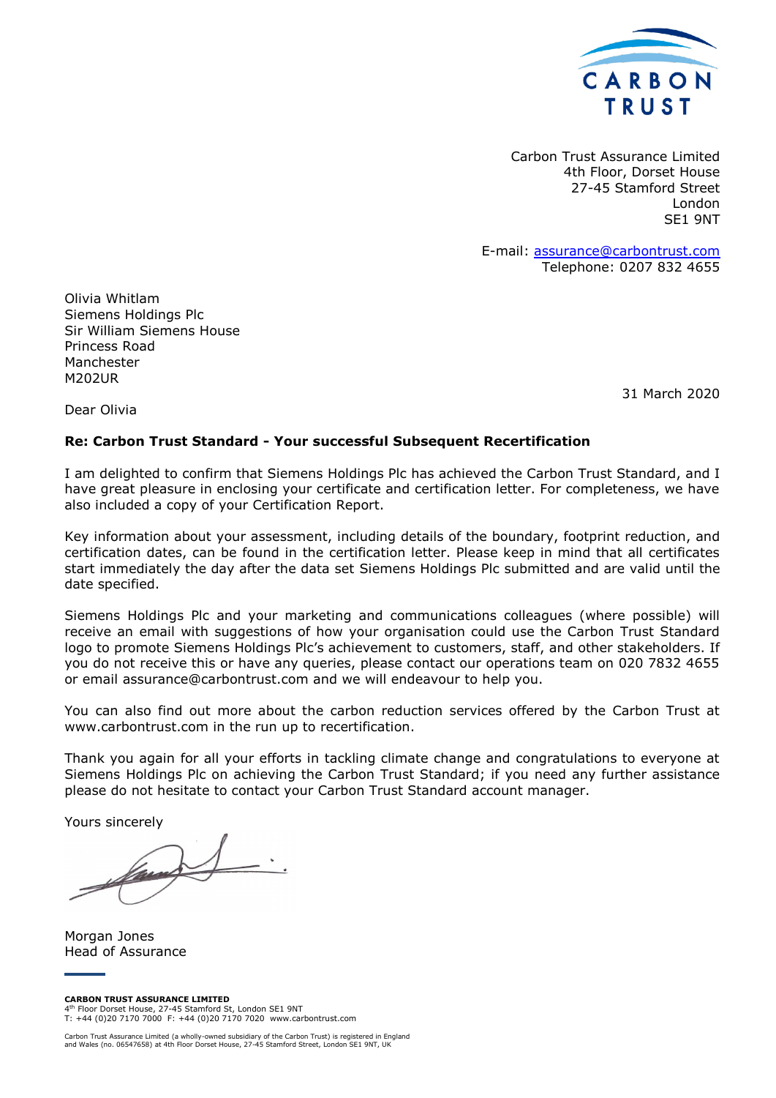

Carbon Trust Assurance Limited 4th Floor, Dorset House 27-45 Stamford Street London SE1 9NT

E-mail: assurance@carbontrust.com Telephone: 0207 832 4655

Olivia Whitlam Siemens Holdings Plc Sir William Siemens House Princess Road Manchester M202UR

31 March 2020

Dear Olivia

#### **Re: Carbon Trust Standard - Your successful Subsequent Recertification**

I am delighted to confirm that Siemens Holdings Plc has achieved the Carbon Trust Standard, and I have great pleasure in enclosing your certificate and certification letter. For completeness, we have also included a copy of your Certification Report.

Key information about your assessment, including details of the boundary, footprint reduction, and certification dates, can be found in the certification letter. Please keep in mind that all certificates start immediately the day after the data set Siemens Holdings Plc submitted and are valid until the date specified.

Siemens Holdings Plc and your marketing and communications colleagues (where possible) will receive an email with suggestions of how your organisation could use the Carbon Trust Standard logo to promote Siemens Holdings Plc's achievement to customers, staff, and other stakeholders. If you do not receive this or have any queries, please contact our operations team on 020 7832 4655 or email assurance@carbontrust.com and we will endeavour to help you.

You can also find out more about the carbon reduction services offered by the Carbon Trust at www.carbontrust.com in the run up to recertification.

Thank you again for all your efforts in tackling climate change and congratulations to everyone at Siemens Holdings Plc on achieving the Carbon Trust Standard; if you need any further assistance please do not hesitate to contact your Carbon Trust Standard account manager.

Yours sincerely

Morgan Jones Head of Assurance

**CARBON TRUST ASSURANCE LIMITED** 4 th Floor Dorset House, 27-45 Stamford St, London SE1 9NT T: +44 (0)20 7170 7000 F: +44 (0)20 7170 7020 www.carbontrust.com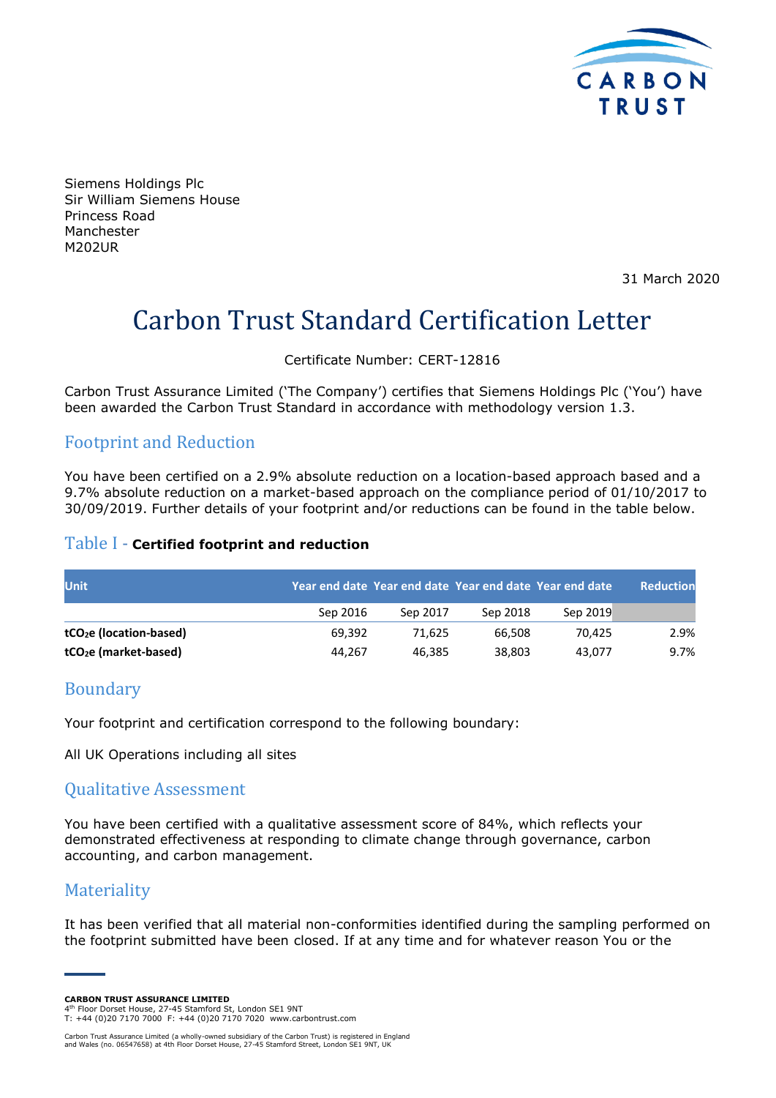

Siemens Holdings Plc Sir William Siemens House Princess Road Manchester M202UR

31 March 2020

# Carbon Trust Standard Certification Letter

Certificate Number: CERT-12816

Carbon Trust Assurance Limited ('The Company') certifies that Siemens Holdings Plc ('You') have been awarded the Carbon Trust Standard in accordance with methodology version 1.3.

## Footprint and Reduction

You have been certified on a 2.9% absolute reduction on a location-based approach based and a 9.7% absolute reduction on a market-based approach on the compliance period of 01/10/2017 to 30/09/2019. Further details of your footprint and/or reductions can be found in the table below.

#### Table I - **Certified footprint and reduction**

| <b>Unit</b>                         |          |          |          | Year end date Year end date Year end date Year end date | <b>Reduction</b> |
|-------------------------------------|----------|----------|----------|---------------------------------------------------------|------------------|
|                                     | Sep 2016 | Sep 2017 | Sep 2018 | Sep 2019                                                |                  |
| tCO <sub>2</sub> e (location-based) | 69.392   | 71.625   | 66.508   | 70.425                                                  | 2.9%             |
| tCO <sub>2</sub> e (market-based)   | 44.267   | 46.385   | 38.803   | 43.077                                                  | 9.7%             |

### Boundary

Your footprint and certification correspond to the following boundary:

All UK Operations including all sites

#### Qualitative Assessment

You have been certified with a qualitative assessment score of 84%, which reflects your demonstrated effectiveness at responding to climate change through governance, carbon accounting, and carbon management.

# **Materiality**

It has been verified that all material non-conformities identified during the sampling performed on the footprint submitted have been closed. If at any time and for whatever reason You or the

**CARBON TRUST ASSURANCE LIMITED**

4 th Floor Dorset House, 27-45 Stamford St, London SE1 9NT T: +44 (0)20 7170 7000 F: +44 (0)20 7170 7020 www.carbontrust.com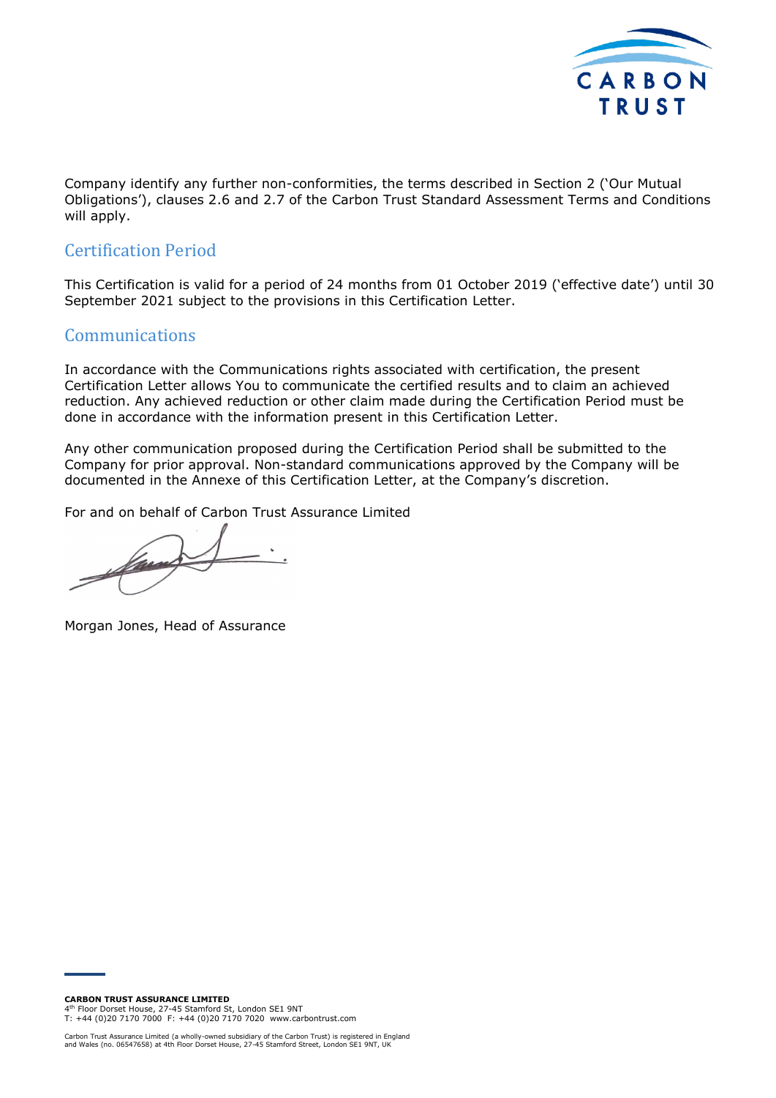

Company identify any further non-conformities, the terms described in Section 2 ('Our Mutual Obligations'), clauses 2.6 and 2.7 of the Carbon Trust Standard Assessment Terms and Conditions will apply.

# Certification Period

This Certification is valid for a period of 24 months from 01 October 2019 ('effective date') until 30 September 2021 subject to the provisions in this Certification Letter.

#### Communications

In accordance with the Communications rights associated with certification, the present Certification Letter allows You to communicate the certified results and to claim an achieved reduction. Any achieved reduction or other claim made during the Certification Period must be done in accordance with the information present in this Certification Letter.

Any other communication proposed during the Certification Period shall be submitted to the Company for prior approval. Non-standard communications approved by the Company will be documented in the Annexe of this Certification Letter, at the Company's discretion.

For and on behalf of Carbon Trust Assurance Limited

 $\overline{\phantom{a}}$ Van

Morgan Jones, Head of Assurance

**CARBON TRUST ASSURANCE LIMITED**

4 th Floor Dorset House, 27-45 Stamford St, London SE1 9NT T: +44 (0)20 7170 7000 F: +44 (0)20 7170 7020 www.carbontrust.com